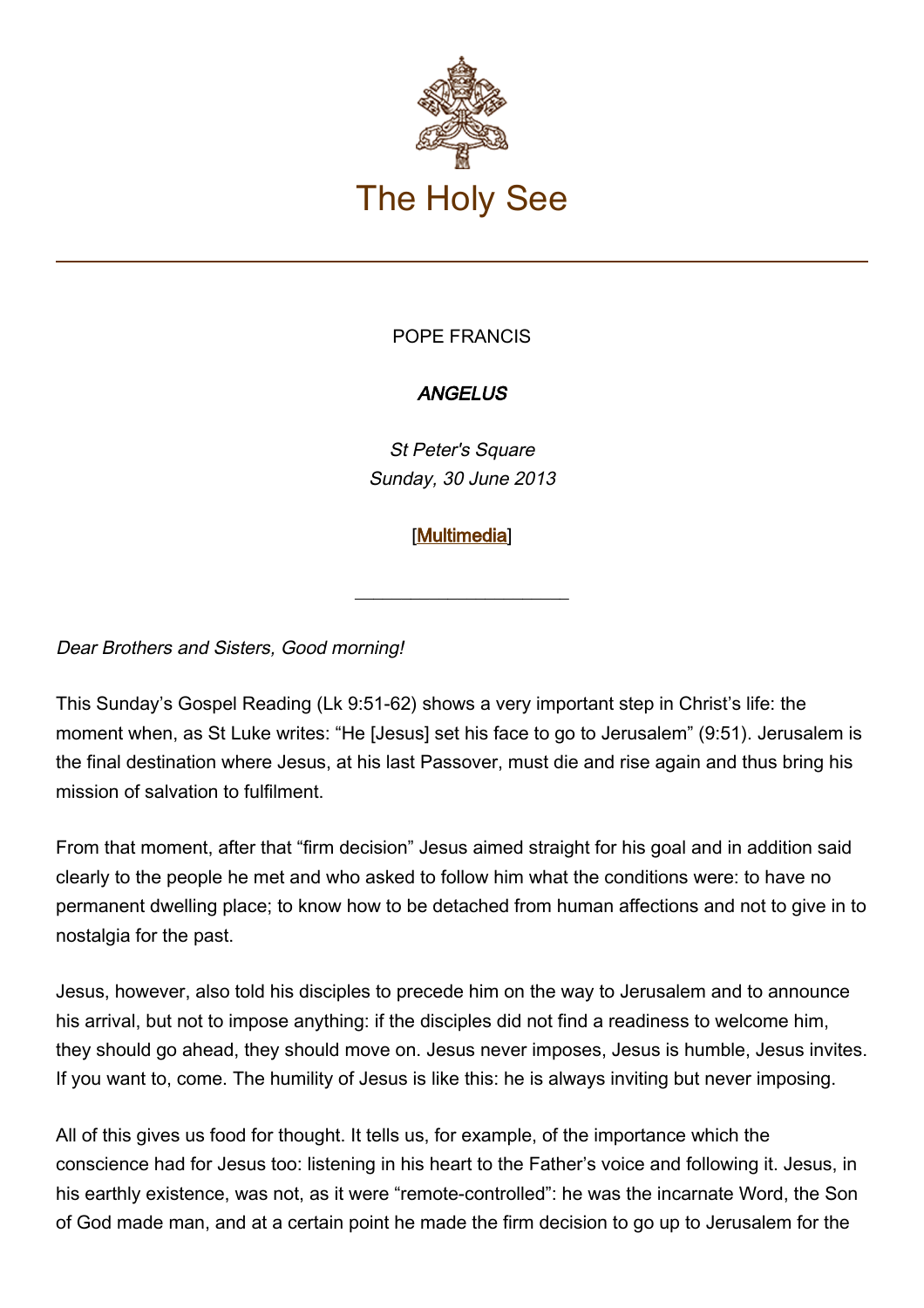

## POPE FRANCIS

## **ANGELUS**

St Peter's Square Sunday, 30 June 2013

## [\[Multimedia](https://www.vatican.va/content/francesco/en/events/event.dir.html/content/vaticanevents/en/2013/6/30/papa-francesco_angelus_20130630.html)]

\_\_\_\_\_\_\_\_\_\_\_\_\_\_\_\_\_\_\_\_\_\_\_

Dear Brothers and Sisters, Good morning!

This Sunday's Gospel Reading (Lk 9:51-62) shows a very important step in Christ's life: the moment when, as St Luke writes: "He [Jesus] set his face to go to Jerusalem" (9:51). Jerusalem is the final destination where Jesus, at his last Passover, must die and rise again and thus bring his mission of salvation to fulfilment.

From that moment, after that "firm decision" Jesus aimed straight for his goal and in addition said clearly to the people he met and who asked to follow him what the conditions were: to have no permanent dwelling place; to know how to be detached from human affections and not to give in to nostalgia for the past.

Jesus, however, also told his disciples to precede him on the way to Jerusalem and to announce his arrival, but not to impose anything: if the disciples did not find a readiness to welcome him, they should go ahead, they should move on. Jesus never imposes, Jesus is humble, Jesus invites. If you want to, come. The humility of Jesus is like this: he is always inviting but never imposing.

All of this gives us food for thought. It tells us, for example, of the importance which the conscience had for Jesus too: listening in his heart to the Father's voice and following it. Jesus, in his earthly existence, was not, as it were "remote-controlled": he was the incarnate Word, the Son of God made man, and at a certain point he made the firm decision to go up to Jerusalem for the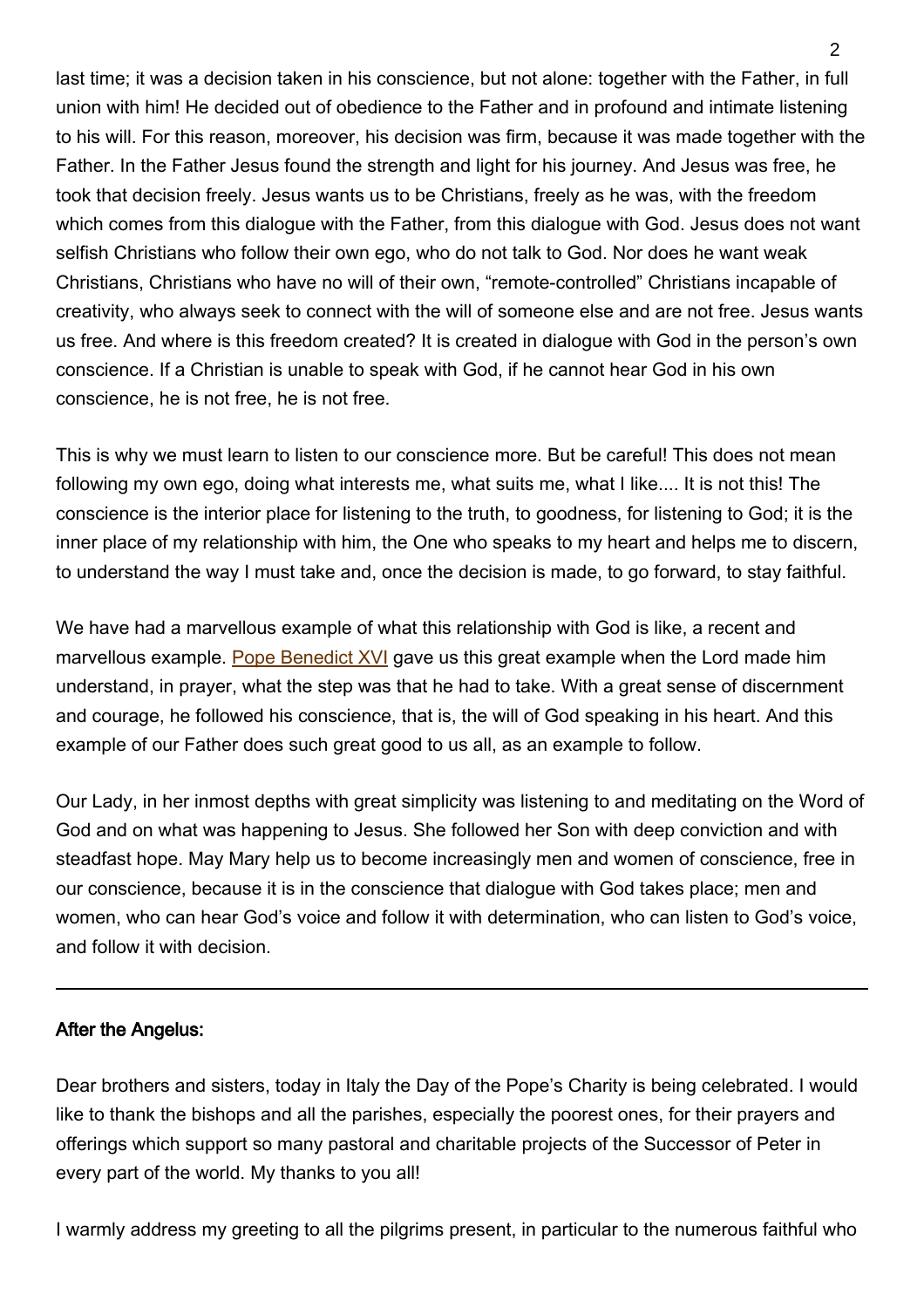last time; it was a decision taken in his conscience, but not alone: together with the Father, in full union with him! He decided out of obedience to the Father and in profound and intimate listening to his will. For this reason, moreover, his decision was firm, because it was made together with the Father. In the Father Jesus found the strength and light for his journey. And Jesus was free, he took that decision freely. Jesus wants us to be Christians, freely as he was, with the freedom which comes from this dialogue with the Father, from this dialogue with God. Jesus does not want selfish Christians who follow their own ego, who do not talk to God. Nor does he want weak Christians, Christians who have no will of their own, "remote-controlled" Christians incapable of creativity, who always seek to connect with the will of someone else and are not free. Jesus wants us free. And where is this freedom created? It is created in dialogue with God in the person's own conscience. If a Christian is unable to speak with God, if he cannot hear God in his own conscience, he is not free, he is not free.

This is why we must learn to listen to our conscience more. But be careful! This does not mean following my own ego, doing what interests me, what suits me, what I like.... It is not this! The conscience is the interior place for listening to the truth, to goodness, for listening to God; it is the inner place of my relationship with him, the One who speaks to my heart and helps me to discern, to understand the way I must take and, once the decision is made, to go forward, to stay faithful.

We have had a marvellous example of what this relationship with God is like, a recent and marvellous example. [Pope Benedict XVI](http://www.vatican.va/holy_father/benedict_xvi/index.htm) gave us this great example when the Lord made him understand, in prayer, what the step was that he had to take. With a great sense of discernment and courage, he followed his conscience, that is, the will of God speaking in his heart. And this example of our Father does such great good to us all, as an example to follow.

Our Lady, in her inmost depths with great simplicity was listening to and meditating on the Word of God and on what was happening to Jesus. She followed her Son with deep conviction and with steadfast hope. May Mary help us to become increasingly men and women of conscience, free in our conscience, because it is in the conscience that dialogue with God takes place; men and women, who can hear God's voice and follow it with determination, who can listen to God's voice, and follow it with decision.

## After the Angelus:

Dear brothers and sisters, today in Italy the Day of the Pope's Charity is being celebrated. I would like to thank the bishops and all the parishes, especially the poorest ones, for their prayers and offerings which support so many pastoral and charitable projects of the Successor of Peter in every part of the world. My thanks to you all!

I warmly address my greeting to all the pilgrims present, in particular to the numerous faithful who